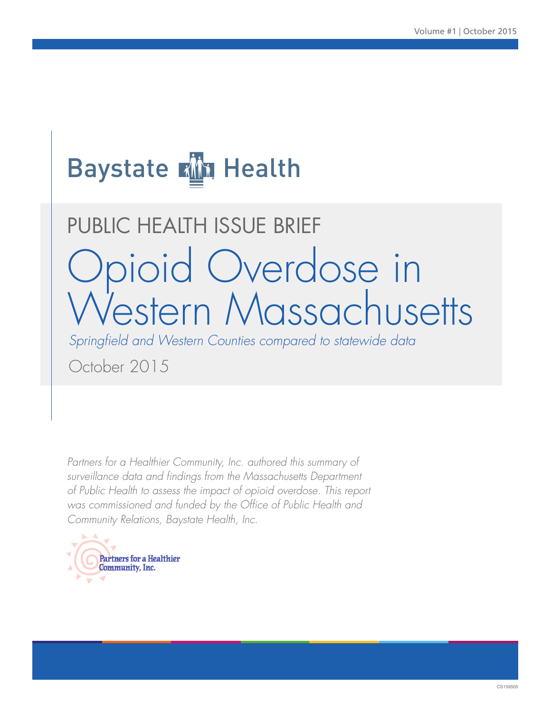## **Baystate Kin Health**

# PUBLIC HEALTH ISSUE BRIEF Opioid Overdose in Western Massachusetts

*Springfield and Western Counties compared to statewide data* 

October 2015

*Partners for a Healthier Community, Inc. authored this summary of surveillance data and findings from the Massachusetts Department of Public Health to assess the impact of opioid overdose. This report was commissioned and funded by the Office of Public Health and Community Relations, Baystate Health, Inc.*

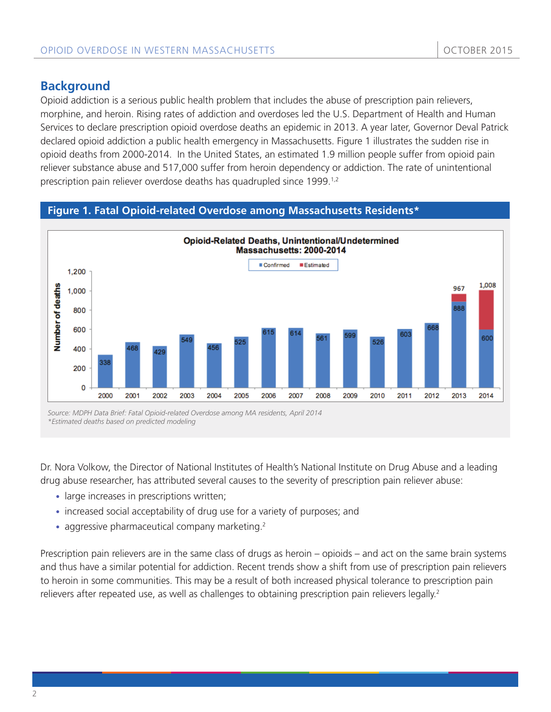## **Background**

Opioid addiction is a serious public health problem that includes the abuse of prescription pain relievers, morphine, and heroin. Rising rates of addiction and overdoses led the U.S. Department of Health and Human Services to declare prescription opioid overdose deaths an epidemic in 2013. A year later, Governor Deval Patrick declared opioid addiction a public health emergency in Massachusetts. Figure 1 illustrates the sudden rise in opioid deaths from 2000-2014. In the United States, an estimated 1.9 million people suffer from opioid pain reliever substance abuse and 517,000 suffer from heroin dependency or addiction. The rate of unintentional prescription pain reliever overdose deaths has quadrupled since 1999.<sup>1,2</sup>

#### **Figure 1. Fatal Opioid-related Overdose among Massachusetts Residents\***



*Source: MDPH Data Brief: Fatal Opioid-related Overdose among MA residents, April 2014 \*Estimated deaths based on predicted modeling*

Dr. Nora Volkow, the Director of National Institutes of Health's National Institute on Drug Abuse and a leading drug abuse researcher, has attributed several causes to the severity of prescription pain reliever abuse:

- large increases in prescriptions written;
- increased social acceptability of drug use for a variety of purposes; and
- aggressive pharmaceutical company marketing. $2^2$

Prescription pain relievers are in the same class of drugs as heroin – opioids – and act on the same brain systems and thus have a similar potential for addiction. Recent trends show a shift from use of prescription pain relievers to heroin in some communities. This may be a result of both increased physical tolerance to prescription pain relievers after repeated use, as well as challenges to obtaining prescription pain relievers legally.<sup>2</sup>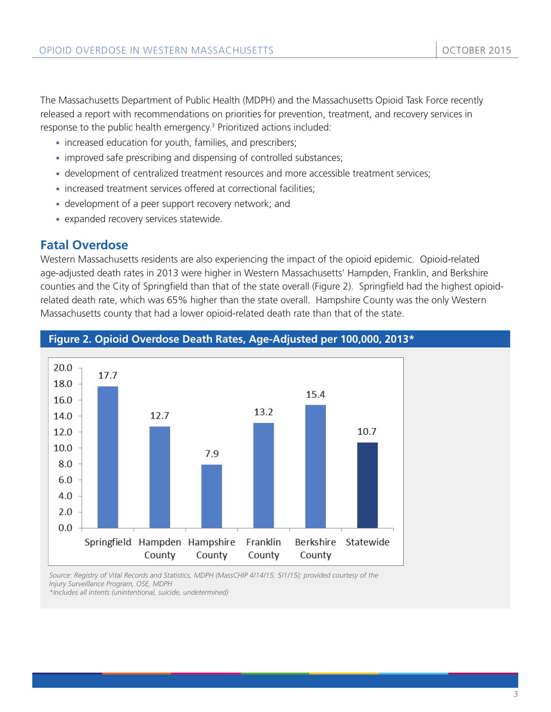The Massachusetts Department of Public Health (MDPH) and the Massachusetts Opioid Task Force recently released a report with recommendations on priorities for prevention, treatment, and recovery services in response to the public health emergency.<sup>3</sup> Prioritized actions included:

- increased education for youth, families, and prescribers;
- improved safe prescribing and dispensing of controlled substances;
- development of centralized treatment resources and more accessible treatment services;
- increased treatment services offered at correctional facilities;
- development of a peer support recovery network; and
- expanded recovery services statewide.

## **Fatal Overdose**

Western Massachusetts residents are also experiencing the impact of the opioid epidemic. Opioid-related age-adjusted death rates in 2013 were higher in Western Massachusetts' Hampden, Franklin, and Berkshire counties and the City of Springfield than that of the state overall (Figure 2). Springfield had the highest opioidrelated death rate, which was 65% higher than the state overall. Hampshire County was the only Western Massachusetts county that had a lower opioid-related death rate than that of the state.



#### **Figure 2. Opioid Overdose Death Rates, Age-Adjusted per 100,000, 2013\***

*Source: Registry of Vital Records and Statistics, MDPH (MassCHIP 4/14/15; 5/1/15); provided courtesy of the Injury Surveillance Program, OSE, MDPH*

*\*Includes all intents (unintentional, suicide, undetermined)*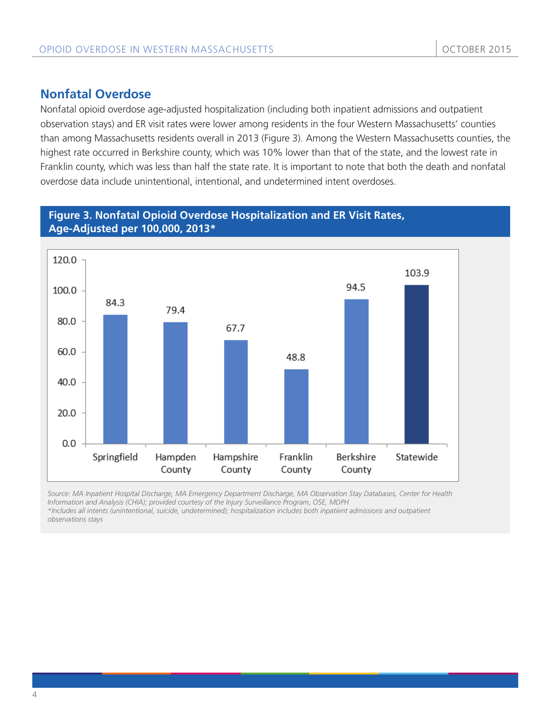## **Nonfatal Overdose**

Nonfatal opioid overdose age-adjusted hospitalization (including both inpatient admissions and outpatient observation stays) and ER visit rates were lower among residents in the four Western Massachusetts' counties than among Massachusetts residents overall in 2013 (Figure 3). Among the Western Massachusetts counties, the highest rate occurred in Berkshire county, which was 10% lower than that of the state, and the lowest rate in Franklin county, which was less than half the state rate. It is important to note that both the death and nonfatal overdose data include unintentional, intentional, and undetermined intent overdoses.

#### **Figure 3. Nonfatal Opioid Overdose Hospitalization and ER Visit Rates, Age-Adjusted per 100,000, 2013\***



*Source: MA Inpatient Hospital Discharge, MA Emergency Department Discharge, MA Observation Stay Databases, Center for Health Information and Analysis (CHIA); provided courtesy of the Injury Surveillance Program, OSE, MDPH*

*\*Includes all intents (unintentional, suicide, undetermined); hospitalization includes both inpatient admissions and outpatient observations stays*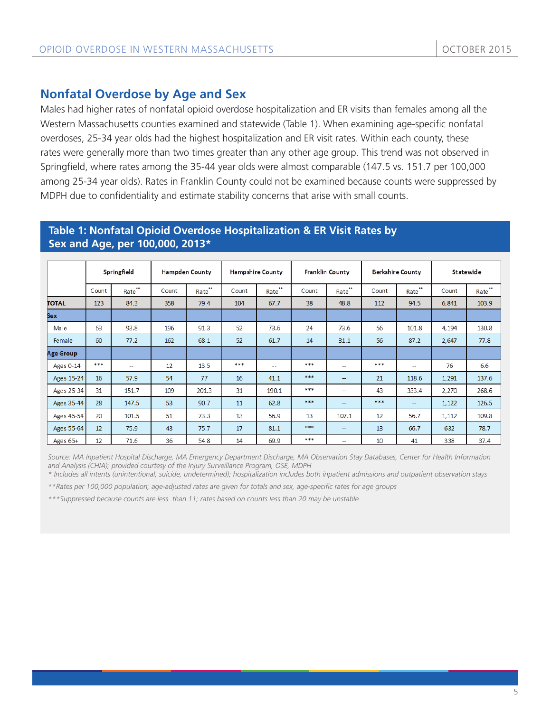## **Nonfatal Overdose by Age and Sex**

Males had higher rates of nonfatal opioid overdose hospitalization and ER visits than females among all the Western Massachusetts counties examined and statewide (Table 1). When examining age-specific nonfatal overdoses, 25-34 year olds had the highest hospitalization and ER visit rates. Within each county, these rates were generally more than two times greater than any other age group. This trend was not observed in Springfield, where rates among the 35-44 year olds were almost comparable (147.5 vs. 151.7 per 100,000 among 25-34 year olds). Rates in Franklin County could not be examined because counts were suppressed by MDPH due to confidentiality and estimate stability concerns that arise with small counts.

#### **Table 1: Nonfatal Opioid Overdose Hospitalization & ER Visit Rates by Sex and Age, per 100,000, 2013\***

|                  | Springfield |                          | <b>Hampden County</b> |                       | Hampshire County |                                       | Franklin County |                                       | Berkshire County |                       | Statewide |       |
|------------------|-------------|--------------------------|-----------------------|-----------------------|------------------|---------------------------------------|-----------------|---------------------------------------|------------------|-----------------------|-----------|-------|
|                  | Count       | $\bullet\bullet$<br>Rate | Count                 | <br>Rate <sup>7</sup> | Count            | $\bullet\bullet$<br>Rate <sup>7</sup> | Count           | $\bullet\bullet$<br>Rate <sup>7</sup> | Count            | <br>Rate <sup>7</sup> | Count     | Rate  |
| <b>TOTAL</b>     | 123         | 84.3                     | 358                   | 79.4                  | 104              | 67.7                                  | 38              | 48.8                                  | 112              | 94.5                  | 6,841     | 103.9 |
| <b>Sex</b>       |             |                          |                       |                       |                  |                                       |                 |                                       |                  |                       |           |       |
| Male             | 63          | 93.8                     | 196                   | 91.3                  | 52               | 73.6                                  | 24              | 73.6                                  | 56               | 101.8                 | 4,194     | 130.8 |
| Female           | 60          | 77.2                     | 162                   | 68.1                  | 52               | 61.7                                  | 14              | 31.1                                  | 56               | 87.2                  | 2,647     | 77.8  |
| <b>Age Group</b> |             |                          |                       |                       |                  |                                       |                 |                                       |                  |                       |           |       |
| Ages 0-14        | ***         | --                       | 12                    | 13.5                  | ***              | $-1$                                  | ***             | $\sim$                                | ***              | --                    | 76        | 6.6   |
| Ages 15-24       | 16          | 57.9                     | 54                    | 77                    | 16               | 41.1                                  | ***             | $\overline{\phantom{m}}$              | 21               | 118.6                 | 1,291     | 137.6 |
| Ages 25-34       | 31          | 151.7                    | 109                   | 201.3                 | 31               | 190.1                                 | ***             | $\overline{\phantom{a}}$              | 43               | 333.4                 | 2,270     | 268.6 |
| Ages 35-44       | 28          | 147.5                    | 53                    | 90.7                  | 11               | 62.8                                  | ***             | $\overline{\phantom{a}}$              | ***              | --                    | 1,122     | 126.5 |
| Ages 45-54       | 20          | 101.5                    | 51                    | 73.3                  | 13               | 56.9                                  | 13              | 107.1                                 | 12               | 56.7                  | 1,112     | 109.8 |
| Ages 55-64       | 12          | 75.9                     | 43                    | 75.7                  | 17               | 81.1                                  | ***             | $\overline{\phantom{m}}$              | 13               | 66.7                  | 632       | 78.7  |
| Ages 65+         | 12          | 71.6                     | 36                    | 54.8                  | 14               | 69.9                                  | ***             | $\hspace{0.05cm}$                     | 10               | 41                    | 338       | 37.4  |

*Source: MA Inpatient Hospital Discharge, MA Emergency Department Discharge, MA Observation Stay Databases, Center for Health Information and Analysis (CHIA); provided courtesy of the Injury Surveillance Program, OSE, MDPH*

*\* Includes all intents (unintentional, suicide, undetermined); hospitalization includes both inpatient admissions and outpatient observation stays* 

*\*\*Rates per 100,000 population; age-adjusted rates are given for totals and sex, age-specific rates for age groups*

*\*\*\*Suppressed because counts are less than 11; rates based on counts less than 20 may be unstable*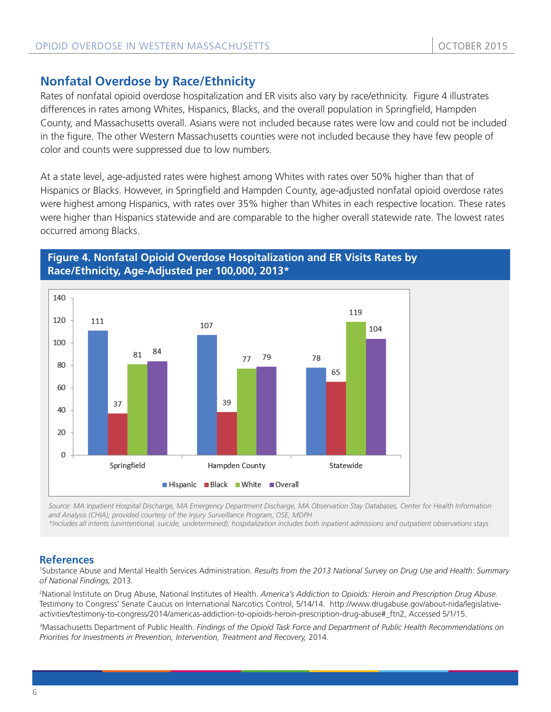## **Nonfatal Overdose by Race/Ethnicity**

Rates of nonfatal opioid overdose hospitalization and ER visits also vary by race/ethnicity. Figure 4 illustrates differences in rates among Whites, Hispanics, Blacks, and the overall population in Springfield, Hampden County, and Massachusetts overall. Asians were not included because rates were low and could not be included in the figure. The other Western Massachusetts counties were not included because they have few people of color and counts were suppressed due to low numbers.

At a state level, age-adjusted rates were highest among Whites with rates over 50% higher than that of Hispanics or Blacks. However, in Springfield and Hampden County, age-adjusted nonfatal opioid overdose rates were highest among Hispanics, with rates over 35% higher than Whites in each respective location. These rates were higher than Hispanics statewide and are comparable to the higher overall statewide rate. The lowest rates occurred among Blacks.

#### **Figure 4. Nonfatal Opioid Overdose Hospitalization and ER Visits Rates by Race/Ethnicity, Age-Adjusted per 100,000, 2013\***



*Source: MA Inpatient Hospital Discharge, MA Emergency Department Discharge, MA Observation Stay Databases, Center for Health Information and Analysis (CHIA); provided courtesy of the Injury Surveillance Program, OSE, MDPH*

*\*Includes all intents (unintentional, suicide, undetermined); hospitalization includes both inpatient admissions and outpatient observations stays*

#### **References**

1 Substance Abuse and Mental Health Services Administration. *Results from the 2013 National Survey on Drug Use and Health: Summary of National Findings,* 2013.

2 National Institute on Drug Abuse, National Institutes of Health. *America's Addiction to Opioids: Heroin and Prescription Drug Abuse.* Testimony to Congress' Senate Caucus on International Narcotics Control, 5/14/14. http://www.drugabuse.gov/about-nida/legislativeactivities/testimony-to-congress/2014/americas-addiction-to-opioids-heroin-prescription-drug-abuse#\_ftn2, Accessed 5/1/15.

3 Massachusetts Department of Public Health. *Findings of the Opioid Task Force and Department of Public Health Recommendations on Priorities for Investments in Prevention, Intervention, Treatment and Recovery,* 2014.